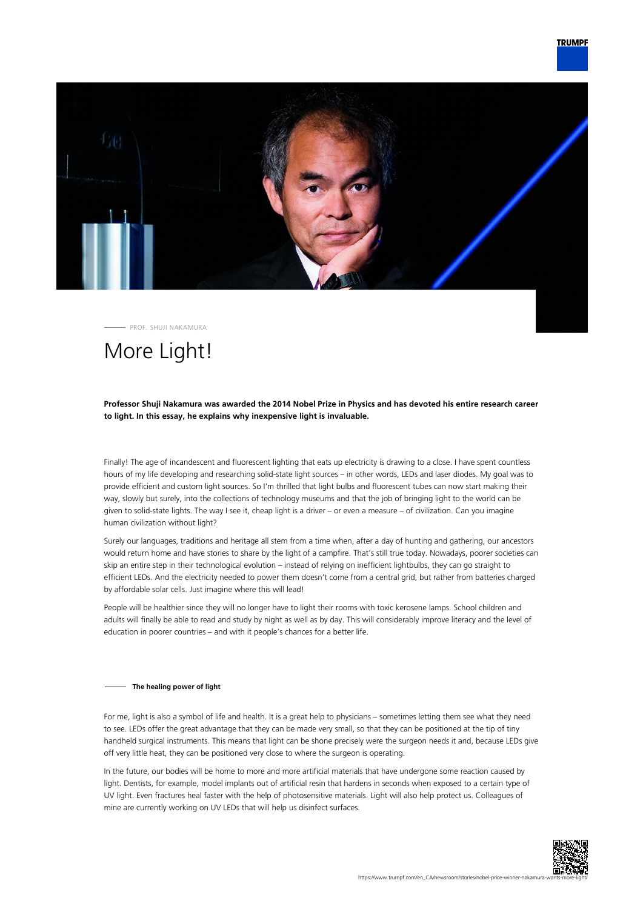

PROF. SHUJI NAKAMURA

# More Light!

### **Professor Shuji Nakamura was awarded the 2014 Nobel Prize in Physics and has devoted his entire research career to light. In this essay, he explains why inexpensive light is invaluable.**

Finally! The age of incandescent and fluorescent lighting that eats up electricity is drawing to a close. I have spent countless hours of my life developing and researching solid-state light sources – in other words, LEDs and laser diodes. My goal was to provide efficient and custom light sources. So I'm thrilled that light bulbs and fluorescent tubes can now start making their way, slowly but surely, into the collections of technology museums and that the job of bringing light to the world can be given to solid-state lights. The way I see it, cheap light is a driver – or even a measure – of civilization. Can you imagine human civilization without light?

Surely our languages, traditions and heritage all stem from a time when, after a day of hunting and gathering, our ancestors would return home and have stories to share by the light of a campfire. That's still true today. Nowadays, poorer societies can skip an entire step in their technological evolution – instead of relying on inefficient lightbulbs, they can go straight to efficient LEDs. And the electricity needed to power them doesn't come from a central grid, but rather from batteries charged by affordable solar cells. Just imagine where this will lead!

People will be healthier since they will no longer have to light their rooms with toxic kerosene lamps. School children and adults will finally be able to read and study by night as well as by day. This will considerably improve literacy and the level of education in poorer countries – and with it people's chances for a better life.

#### **The healing power of light**

For me, light is also a symbol of life and health. It is a great help to physicians – sometimes letting them see what they need to see. LEDs offer the great advantage that they can be made very small, so that they can be positioned at the tip of tiny handheld surgical instruments. This means that light can be shone precisely were the surgeon needs it and, because LEDs give off very little heat, they can be positioned very close to where the surgeon is operating.

In the future, our bodies will be home to more and more artificial materials that have undergone some reaction caused by light. Dentists, for example, model implants out of artificial resin that hardens in seconds when exposed to a certain type of UV light. Even fractures heal faster with the help of photosensitive materials. Light will also help protect us. Colleagues of mine are currently working on UV LEDs that will help us disinfect surfaces.

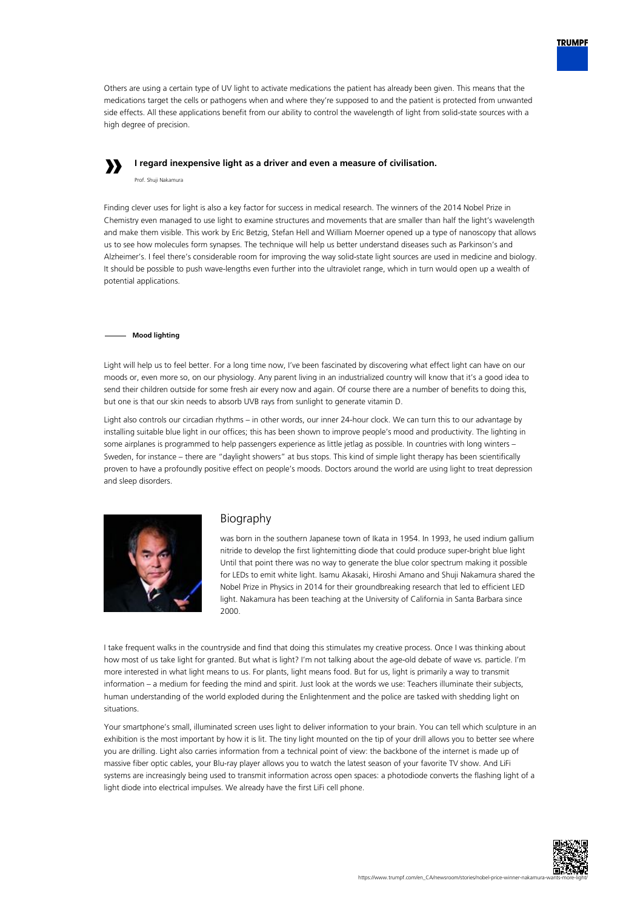

Others are using a certain type of UV light to activate medications the patient has already been given. This means that the medications target the cells or pathogens when and where they're supposed to and the patient is protected from unwanted side effects. All these applications benefit from our ability to control the wavelength of light from solid-state sources with a high degree of precision.

# **»**

**I regard inexpensive light as a driver and even a measure of civilisation.**

Prof. Shuji Nakamura

Finding clever uses for light is also a key factor for success in medical research. The winners of the 2014 Nobel Prize in Chemistry even managed to use light to examine structures and movements that are smaller than half the light's wavelength and make them visible. This work by Eric Betzig, Stefan Hell and William Moerner opened up a type of nanoscopy that allows us to see how molecules form synapses. The technique will help us better understand diseases such as Parkinson's and Alzheimer's. I feel there's considerable room for improving the way solid-state light sources are used in medicine and biology. It should be possible to push wave-lengths even further into the ultraviolet range, which in turn would open up a wealth of potential applications.

### **Mood lighting**

Light will help us to feel better. For a long time now, I've been fascinated by discovering what effect light can have on our moods or, even more so, on our physiology. Any parent living in an industrialized country will know that it's a good idea to send their children outside for some fresh air every now and again. Of course there are a number of benefits to doing this, but one is that our skin needs to absorb UVB rays from sunlight to generate vitamin D.

Light also controls our circadian rhythms – in other words, our inner 24-hour clock. We can turn this to our advantage by installing suitable blue light in our offices; this has been shown to improve people's mood and productivity. The lighting in some airplanes is programmed to help passengers experience as little jetlag as possible. In countries with long winters – Sweden, for instance – there are "daylight showers" at bus stops. This kind of simple light therapy has been scientifically proven to have a profoundly positive effect on people's moods. Doctors around the world are using light to treat depression and sleep disorders.



## Biography

was born in the southern Japanese town of Ikata in 1954. In 1993, he used indium gallium nitride to develop the first lightemitting diode that could produce super-bright blue light Until that point there was no way to generate the blue color spectrum making it possible for LEDs to emit white light. Isamu Akasaki, Hiroshi Amano and Shuji Nakamura shared the Nobel Prize in Physics in 2014 for their groundbreaking research that led to efficient LED light. Nakamura has been teaching at the University of California in Santa Barbara since 2000.

I take frequent walks in the countryside and find that doing this stimulates my creative process. Once I was thinking about how most of us take light for granted. But what is light? I'm not talking about the age-old debate of wave vs. particle. I'm more interested in what light means to us. For plants, light means food. But for us, light is primarily a way to transmit information – a medium for feeding the mind and spirit. Just look at the words we use: Teachers illuminate their subjects, human understanding of the world exploded during the Enlightenment and the police are tasked with shedding light on situations.

Your smartphone's small, illuminated screen uses light to deliver information to your brain. You can tell which sculpture in an exhibition is the most important by how it is lit. The tiny light mounted on the tip of your drill allows you to better see where you are drilling. Light also carries information from a technical point of view: the backbone of the internet is made up of massive fiber optic cables, your Blu-ray player allows you to watch the latest season of your favorite TV show. And LiFi systems are increasingly being used to transmit information across open spaces: a photodiode converts the flashing light of a light diode into electrical impulses. We already have the first LiFi cell phone.